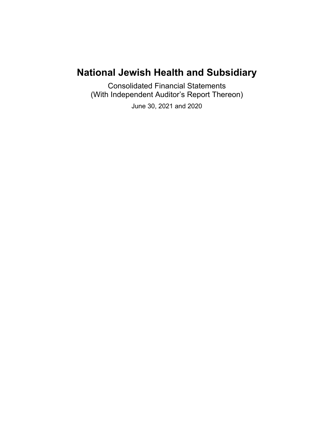Consolidated Financial Statements (With Independent Auditor's Report Thereon)

June 30, 2021 and 2020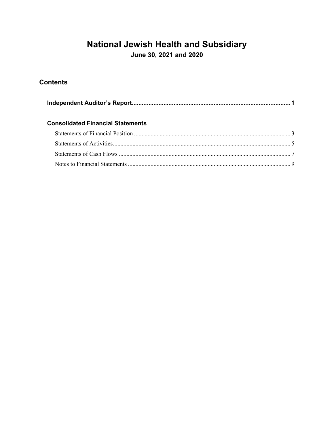## **National Jewish Health and Subsidiary** June 30, 2021 and 2020

### **Contents**

| <b>Consolidated Financial Statements</b> |  |
|------------------------------------------|--|
|                                          |  |
|                                          |  |
|                                          |  |
|                                          |  |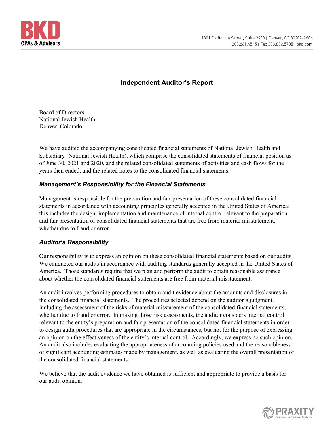

### **Independent Auditor's Report**

Board of Directors National Jewish Health Denver, Colorado

We have audited the accompanying consolidated financial statements of National Jewish Health and Subsidiary (National Jewish Health), which comprise the consolidated statements of financial position as of June 30, 2021 and 2020, and the related consolidated statements of activities and cash flows for the years then ended, and the related notes to the consolidated financial statements.

#### *Management's Responsibility for the Financial Statements*

Management is responsible for the preparation and fair presentation of these consolidated financial statements in accordance with accounting principles generally accepted in the United States of America; this includes the design, implementation and maintenance of internal control relevant to the preparation and fair presentation of consolidated financial statements that are free from material misstatement, whether due to fraud or error.

#### *Auditor's Responsibility*

Our responsibility is to express an opinion on these consolidated financial statements based on our audits. We conducted our audits in accordance with auditing standards generally accepted in the United States of America. Those standards require that we plan and perform the audit to obtain reasonable assurance about whether the consolidated financial statements are free from material misstatement.

An audit involves performing procedures to obtain audit evidence about the amounts and disclosures in the consolidated financial statements. The procedures selected depend on the auditor's judgment, including the assessment of the risks of material misstatement of the consolidated financial statements, whether due to fraud or error. In making those risk assessments, the auditor considers internal control relevant to the entity's preparation and fair presentation of the consolidated financial statements in order to design audit procedures that are appropriate in the circumstances, but not for the purpose of expressing an opinion on the effectiveness of the entity's internal control. Accordingly, we express no such opinion. An audit also includes evaluating the appropriateness of accounting policies used and the reasonableness of significant accounting estimates made by management, as well as evaluating the overall presentation of the consolidated financial statements.

We believe that the audit evidence we have obtained is sufficient and appropriate to provide a basis for our audit opinion.

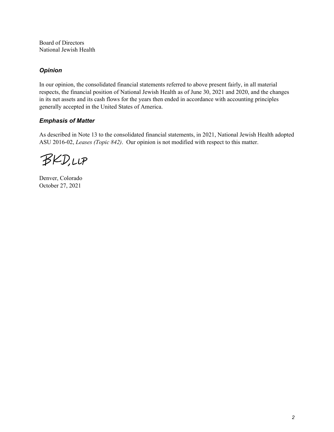Board of Directors National Jewish Health

#### *Opinion*

In our opinion, the consolidated financial statements referred to above present fairly, in all material respects, the financial position of National Jewish Health as of June 30, 2021 and 2020, and the changes in its net assets and its cash flows for the years then ended in accordance with accounting principles generally accepted in the United States of America.

### *Emphasis of Matter*

As described in Note 13 to the consolidated financial statements, in 2021, National Jewish Health adopted ASU 2016-02, *Leases (Topic 842)*. Our opinion is not modified with respect to this matter.

**BKD,LLP** 

Denver, Colorado October 27, 2021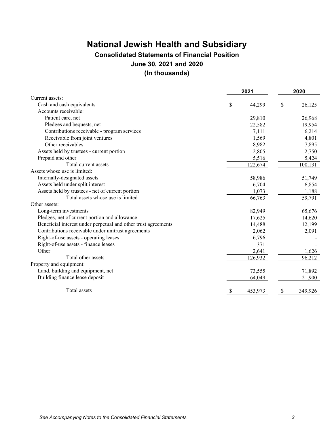### **Consolidated Statements of Financial Position June 30, 2021 and 2020 (In thousands)**

|                                                                | 2021         | 2020 |         |  |
|----------------------------------------------------------------|--------------|------|---------|--|
| Current assets:                                                |              |      |         |  |
| Cash and cash equivalents                                      | \$<br>44,299 | \$   | 26,125  |  |
| Accounts receivable:                                           |              |      |         |  |
| Patient care, net                                              | 29,810       |      | 26,968  |  |
| Pledges and bequests, net                                      | 22,582       |      | 19,954  |  |
| Contributions receivable - program services                    | 7,111        |      | 6,214   |  |
| Receivable from joint ventures                                 | 1,569        |      | 4,801   |  |
| Other receivables                                              | 8,982        |      | 7,895   |  |
| Assets held by trustees - current portion                      | 2,805        |      | 2,750   |  |
| Prepaid and other                                              | 5,516        |      | 5,424   |  |
| Total current assets                                           | 122,674      |      | 100,131 |  |
| Assets whose use is limited:                                   |              |      |         |  |
| Internally-designated assets                                   | 58,986       |      | 51,749  |  |
| Assets held under split interest                               | 6,704        |      | 6,854   |  |
| Assets held by trustees - net of current portion               | 1,073        |      | 1,188   |  |
| Total assets whose use is limited                              | 66,763       |      | 59,791  |  |
| Other assets:                                                  |              |      |         |  |
| Long-term investments                                          | 82,949       |      | 65,676  |  |
| Pledges, net of current portion and allowance                  | 17,625       |      | 14,620  |  |
| Beneficial interest under perpetual and other trust agreements | 14,488       |      | 12,199  |  |
| Contributions receivable under unitrust agreements             | 2,062        |      | 2,091   |  |
| Right-of-use assets - operating leases                         | 6,796        |      |         |  |
| Right-of-use assets - finance leases                           | 371          |      |         |  |
| Other                                                          | 2,641        |      | 1,626   |  |
| Total other assets                                             | 126,932      |      | 96,212  |  |
| Property and equipment:                                        |              |      |         |  |
| Land, building and equipment, net                              | 73,555       |      | 71,892  |  |
| Building finance lease deposit                                 | 64,049       |      | 21,900  |  |
| Total assets                                                   | 453,973      |      | 349,926 |  |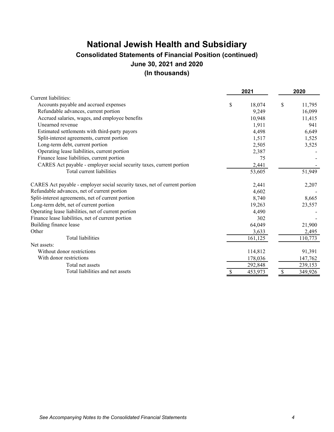## **Consolidated Statements of Financial Position (continued) June 30, 2021 and 2020**

**(In thousands)** 

|                                                                            | 2021 |         |    |         |
|----------------------------------------------------------------------------|------|---------|----|---------|
| Current liabilities:                                                       |      |         |    |         |
| Accounts payable and accrued expenses                                      | \$   | 18,074  | \$ | 11,795  |
| Refundable advances, current portion                                       |      | 9,249   |    | 16,099  |
| Accrued salaries, wages, and employee benefits                             |      | 10,948  |    | 11,415  |
| Unearned revenue                                                           |      | 1,911   |    | 941     |
| Estimated settlements with third-party payors                              |      | 4,498   |    | 6,649   |
| Split-interest agreements, current portion                                 |      | 1,517   |    | 1,525   |
| Long-term debt, current portion                                            |      | 2,505   |    | 3,525   |
| Operating lease liabilities, current portion                               |      | 2,387   |    |         |
| Finance lease liabilities, current portion                                 |      | 75      |    |         |
| CARES Act payable - employer social security taxes, current portion        |      | 2,441   |    |         |
| Total current liabilities                                                  |      | 53,605  |    | 51,949  |
| CARES Act payable - employer social security taxes, net of current portion |      | 2,441   |    | 2,207   |
| Refundable advances, net of current portion                                |      | 4,602   |    |         |
| Split-interest agreements, net of current portion                          |      | 8,740   |    | 8,665   |
| Long-term debt, net of current portion                                     |      | 19,263  |    | 23,557  |
| Operating lease liabilities, net of current portion                        |      | 4,490   |    |         |
| Finance lease liabilities, net of current portion                          |      | 302     |    |         |
| Building finance lease                                                     |      | 64,049  |    | 21,900  |
| Other                                                                      |      | 3,633   |    | 2,495   |
| Total liabilities                                                          |      | 161,125 |    | 110,773 |
| Net assets:                                                                |      |         |    |         |
| Without donor restrictions                                                 |      | 114,812 |    | 91,391  |
| With donor restrictions                                                    |      | 178,036 |    | 147,762 |
| Total net assets                                                           |      | 292,848 |    | 239,153 |
| Total liabilities and net assets                                           |      | 453,973 |    | 349,926 |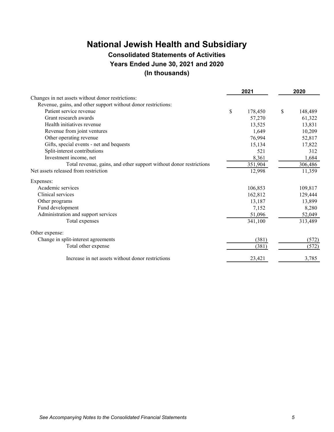### **Consolidated Statements of Activities Years Ended June 30, 2021 and 2020 (In thousands)**

|                                                                    | 2021 |         |    |         |
|--------------------------------------------------------------------|------|---------|----|---------|
| Changes in net assets without donor restrictions:                  |      |         |    |         |
| Revenue, gains, and other support without donor restrictions:      |      |         |    |         |
| Patient service revenue                                            | \$   | 178,450 | \$ | 148,489 |
| Grant research awards                                              |      | 57,270  |    | 61,322  |
| Health initiatives revenue                                         |      | 13,525  |    | 13,831  |
| Revenue from joint ventures                                        |      | 1,649   |    | 10,209  |
| Other operating revenue                                            |      | 76,994  |    | 52,817  |
| Gifts, special events - net and bequests                           |      | 15,134  |    | 17,822  |
| Split-interest contributions                                       |      | 521     |    | 312     |
| Investment income, net                                             |      | 8,361   |    | 1,684   |
| Total revenue, gains, and other support without donor restrictions |      | 351,904 |    | 306,486 |
| Net assets released from restriction                               |      | 12,998  |    | 11,359  |
| Expenses:                                                          |      |         |    |         |
| Academic services                                                  |      | 106,853 |    | 109,817 |
| Clinical services                                                  |      | 162,812 |    | 129,444 |
| Other programs                                                     |      | 13,187  |    | 13,899  |
| Fund development                                                   |      | 7,152   |    | 8,280   |
| Administration and support services                                |      | 51,096  |    | 52,049  |
| Total expenses                                                     |      | 341,100 |    | 313,489 |
| Other expense:                                                     |      |         |    |         |
| Change in split-interest agreements                                |      | (381)   |    | (572)   |
| Total other expense                                                |      | (381)   |    | (572)   |
| Increase in net assets without donor restrictions                  |      | 23,421  |    | 3,785   |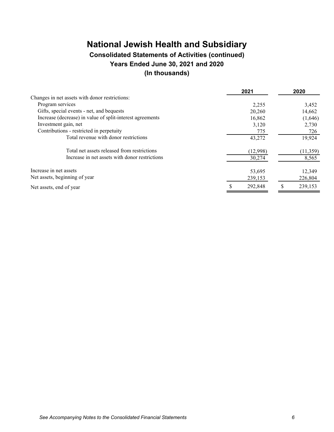### **Consolidated Statements of Activities (continued) Years Ended June 30, 2021 and 2020 (In thousands)**

|                                                           |   | 2021     | 2020     |
|-----------------------------------------------------------|---|----------|----------|
| Changes in net assets with donor restrictions:            |   |          |          |
| Program services                                          |   | 2,255    | 3,452    |
| Gifts, special events - net, and bequests                 |   | 20,260   | 14,662   |
| Increase (decrease) in value of split-interest agreements |   | 16,862   | (1,646)  |
| Investment gain, net                                      |   | 3,120    | 2,730    |
| Contributions - restricted in perpetuity                  |   | 775      | 726      |
| Total revenue with donor restrictions                     |   | 43,272   | 19,924   |
| Total net assets released from restrictions               |   | (12,998) | (11,359) |
| Increase in net assets with donor restrictions            |   | 30,274   | 8,565    |
| Increase in net assets                                    |   | 53,695   | 12,349   |
| Net assets, beginning of year                             |   | 239,153  | 226,804  |
| Net assets, end of year                                   | S | 292,848  | 239,153  |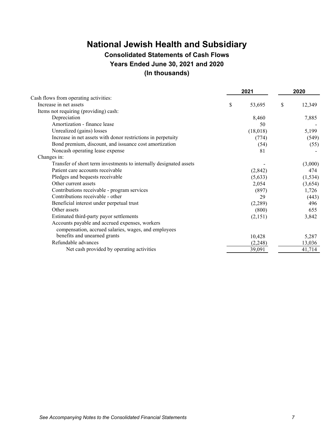### **Consolidated Statements of Cash Flows Years Ended June 30, 2021 and 2020 (In thousands)**

|                                                                    | 2021         | 2020         |  |
|--------------------------------------------------------------------|--------------|--------------|--|
| Cash flows from operating activities:                              |              |              |  |
| Increase in net assets                                             | \$<br>53,695 | \$<br>12,349 |  |
| Items not requiring (providing) cash:                              |              |              |  |
| Depreciation                                                       | 8,460        | 7,885        |  |
| Amortization - finance lease                                       | 50           |              |  |
| Unrealized (gains) losses                                          | (18,018)     | 5,199        |  |
| Increase in net assets with donor restrictions in perpetuity       | (774)        | (549)        |  |
| Bond premium, discount, and issuance cost amortization             | (54)         | (55)         |  |
| Noncash operating lease expense                                    | 81           |              |  |
| Changes in:                                                        |              |              |  |
| Transfer of short term investments to internally designated assets |              | (3,000)      |  |
| Patient care accounts receivable                                   | (2,842)      | 474          |  |
| Pledges and bequests receivable                                    | (5,633)      | (1, 534)     |  |
| Other current assets                                               | 2,054        | (3,654)      |  |
| Contributions receivable - program services                        | (897)        | 1,726        |  |
| Contributions receivable - other                                   | 29           | (443)        |  |
| Beneficial interest under perpetual trust                          | (2,289)      | 496          |  |
| Other assets                                                       | (800)        | 655          |  |
| Estimated third-party payor settlements                            | (2,151)      | 3,842        |  |
| Accounts payable and accrued expenses, workers                     |              |              |  |
| compensation, accrued salaries, wages, and employees               |              |              |  |
| benefits and unearned grants                                       | 10,428       | 5,287        |  |
| Refundable advances                                                | (2,248)      | 13,036       |  |
| Net cash provided by operating activities                          | 39,091       | 41,714       |  |
|                                                                    |              |              |  |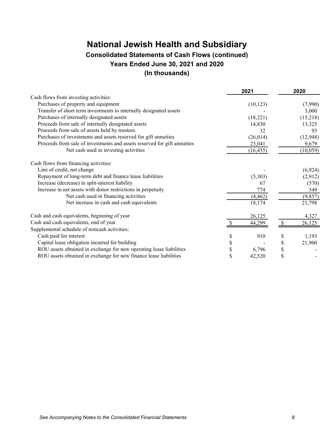### **Consolidated Statements of Cash Flows (continued) Years Ended June 30, 2021 and 2020 (In thousands)**

|                                                                          | 2021         | 2020         |
|--------------------------------------------------------------------------|--------------|--------------|
| Cash flows from investing activities:                                    |              |              |
| Purchases of property and equipment                                      | (10, 123)    | (7,990)      |
| Transfer of short term investments to internally designated assets       |              | 3,000        |
| Purchases of internally designated assets                                | (18, 221)    | (15,218)     |
| Proceeds from sale of internally designated assets                       | 14,830       | 13,325       |
| Proceeds from sale of assets held by trustees                            | 32           | 93           |
| Purchases of investments and assets reserved for gift annuities          | (26, 014)    | (12, 948)    |
| Proceeds from sale of investments and assets reserved for gift annuities | 23,041       | 9,679        |
| Net cash used in investing activities                                    | (16, 455)    | (10, 059)    |
| Cash flows from financing activities:                                    |              |              |
| Line of credit, net change                                               |              | (6, 924)     |
| Repayment of long-term debt and finance lease liabilities                | (5,303)      | (2, 912)     |
| Increase (decrease) in split-interest liability                          | 67           | (570)        |
| Increase in net assets with donor restrictions in perpetuity             | 774          | 549          |
| Net cash used in financing activities                                    | (4, 462)     | (9, 857)     |
| Net increase in cash and cash equivalents                                | 18,174       | 21,798       |
| Cash and cash equivalents, beginning of year                             | 26,125       | 4,327        |
| Cash and cash equivalents, end of year                                   | 44,299       | \$<br>26,125 |
| Supplemental schedule of noncash activities:                             |              |              |
| Cash paid for interest                                                   | \$<br>910    | \$<br>1,193  |
| Capital lease obligation incurred for building                           | \$           | \$<br>21,900 |
| ROU assets obtained in exchange for new operating lease liabilities      | \$<br>6,796  | \$           |
| ROU assets obtained in exchange for new finance lease liabilities        | \$<br>42,520 | \$           |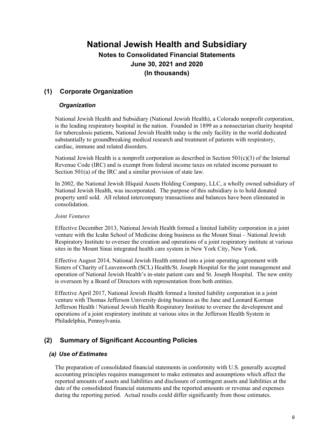### **(1) Corporate Organization**

#### *Organization*

National Jewish Health and Subsidiary (National Jewish Health), a Colorado nonprofit corporation, is the leading respiratory hospital in the nation. Founded in 1899 as a nonsectarian charity hospital for tuberculosis patients, National Jewish Health today is the only facility in the world dedicated substantially to groundbreaking medical research and treatment of patients with respiratory, cardiac, immune and related disorders.

National Jewish Health is a nonprofit corporation as described in Section  $501(c)(3)$  of the Internal Revenue Code (IRC) and is exempt from federal income taxes on related income pursuant to Section 501(a) of the IRC and a similar provision of state law.

In 2002, the National Jewish Illiquid Assets Holding Company, LLC, a wholly owned subsidiary of National Jewish Health, was incorporated. The purpose of this subsidiary is to hold donated property until sold. All related intercompany transactions and balances have been eliminated in consolidation.

#### *Joint Ventures*

Effective December 2013, National Jewish Health formed a limited liability corporation in a joint venture with the Icahn School of Medicine doing business as the Mount Sinai – National Jewish Respiratory Institute to oversee the creation and operations of a joint respiratory institute at various sites in the Mount Sinai integrated health care system in New York City, New York.

Effective August 2014, National Jewish Health entered into a joint operating agreement with Sisters of Charity of Leavenworth (SCL) Health/St. Joseph Hospital for the joint management and operation of National Jewish Health's in-state patient care and St. Joseph Hospital. The new entity is overseen by a Board of Directors with representation from both entities.

Effective April 2017, National Jewish Health formed a limited liability corporation in a joint venture with Thomas Jefferson University doing business as the Jane and Leonard Korman Jefferson Health ǀ National Jewish Health Respiratory Institute to oversee the development and operations of a joint respiratory institute at various sites in the Jefferson Health System in Philadelphia, Pennsylvania.

### **(2) Summary of Significant Accounting Policies**

#### *(a) Use of Estimates*

The preparation of consolidated financial statements in conformity with U.S. generally accepted accounting principles requires management to make estimates and assumptions which affect the reported amounts of assets and liabilities and disclosure of contingent assets and liabilities at the date of the consolidated financial statements and the reported amounts or revenue and expenses during the reporting period. Actual results could differ significantly from those estimates.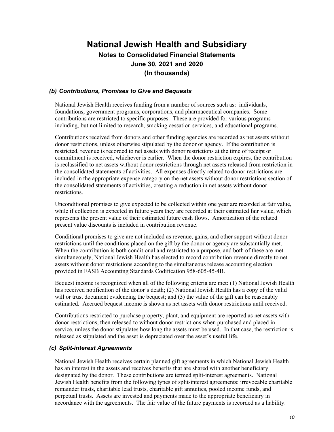#### *(b) Contributions, Promises to Give and Bequests*

National Jewish Health receives funding from a number of sources such as: individuals, foundations, government programs, corporations, and pharmaceutical companies. Some contributions are restricted to specific purposes. These are provided for various programs including, but not limited to research, smoking cessation services, and educational programs.

Contributions received from donors and other funding agencies are recorded as net assets without donor restrictions, unless otherwise stipulated by the donor or agency. If the contribution is restricted, revenue is recorded to net assets with donor restrictions at the time of receipt or commitment is received, whichever is earlier. When the donor restriction expires, the contribution is reclassified to net assets without donor restrictions through net assets released from restriction in the consolidated statements of activities. All expenses directly related to donor restrictions are included in the appropriate expense category on the net assets without donor restrictions section of the consolidated statements of activities, creating a reduction in net assets without donor restrictions.

Unconditional promises to give expected to be collected within one year are recorded at fair value, while if collection is expected in future years they are recorded at their estimated fair value, which represents the present value of their estimated future cash flows. Amortization of the related present value discounts is included in contribution revenue.

Conditional promises to give are not included as revenue, gains, and other support without donor restrictions until the conditions placed on the gift by the donor or agency are substantially met. When the contribution is both conditional and restricted to a purpose, and both of these are met simultaneously, National Jewish Health has elected to record contribution revenue directly to net assets without donor restrictions according to the simultaneous release accounting election provided in FASB Accounting Standards Codification 958-605-45-4B.

Bequest income is recognized when all of the following criteria are met: (1) National Jewish Health has received notification of the donor's death; (2) National Jewish Health has a copy of the valid will or trust document evidencing the bequest; and (3) the value of the gift can be reasonably estimated. Accrued bequest income is shown as net assets with donor restrictions until received.

Contributions restricted to purchase property, plant, and equipment are reported as net assets with donor restrictions, then released to without donor restrictions when purchased and placed in service, unless the donor stipulates how long the assets must be used. In that case, the restriction is released as stipulated and the asset is depreciated over the asset's useful life.

#### *(c) Split-interest Agreements*

National Jewish Health receives certain planned gift agreements in which National Jewish Health has an interest in the assets and receives benefits that are shared with another beneficiary designated by the donor. These contributions are termed split-interest agreements. National Jewish Health benefits from the following types of split-interest agreements: irrevocable charitable remainder trusts, charitable lead trusts, charitable gift annuities, pooled income funds, and perpetual trusts. Assets are invested and payments made to the appropriate beneficiary in accordance with the agreements. The fair value of the future payments is recorded as a liability.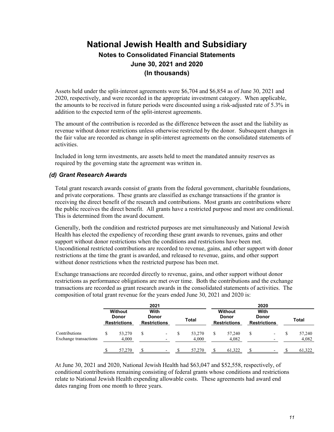Assets held under the split-interest agreements were \$6,704 and \$6,854 as of June 30, 2021 and 2020, respectively, and were recorded in the appropriate investment category. When applicable, the amounts to be received in future periods were discounted using a risk-adjusted rate of 5.3% in addition to the expected term of the split-interest agreements.

The amount of the contribution is recorded as the difference between the asset and the liability as revenue without donor restrictions unless otherwise restricted by the donor. Subsequent changes in the fair value are recorded as change in split-interest agreements on the consolidated statements of activities.

Included in long term investments, are assets held to meet the mandated annuity reserves as required by the governing state the agreement was written in.

#### *(d) Grant Research Awards*

Total grant research awards consist of grants from the federal government, charitable foundations, and private corporations. These grants are classified as exchange transactions if the grantor is receiving the direct benefit of the research and contributions. Most grants are contributions where the public receives the direct benefit. All grants have a restricted purpose and most are conditional. This is determined from the award document.

Generally, both the condition and restricted purposes are met simultaneously and National Jewish Health has elected the expediency of recording these grant awards to revenues, gains and other support without donor restrictions when the conditions and restrictions have been met. Unconditional restricted contributions are recorded to revenue, gains, and other support with donor restrictions at the time the grant is awarded, and released to revenue, gains, and other support without donor restrictions when the restricted purpose has been met.

Exchange transactions are recorded directly to revenue, gains, and other support without donor restrictions as performance obligations are met over time. Both the contributions and the exchange transactions are recorded as grant research awards in the consolidated statements of activities. The composition of total grant revenue for the years ended June 30, 2021 and 2020 is:

|                                        |                                                       |                                             | 2021 |       |                 |                                                       |                 |                                             |                          |              |                 |
|----------------------------------------|-------------------------------------------------------|---------------------------------------------|------|-------|-----------------|-------------------------------------------------------|-----------------|---------------------------------------------|--------------------------|--------------|-----------------|
|                                        | <b>Without</b><br><b>Donor</b><br><b>Restrictions</b> | With<br><b>Donor</b><br><b>Restrictions</b> |      | Total |                 | <b>Without</b><br><b>Donor</b><br><b>Restrictions</b> |                 | With<br><b>Donor</b><br><b>Restrictions</b> |                          | <b>Total</b> |                 |
| Contributions<br>Exchange transactions | 53,270<br>4,000                                       |                                             |      |       | 53,270<br>4,000 | \$                                                    | 57,240<br>4,082 | S                                           | -                        |              | 57,240<br>4,082 |
|                                        | 57,270                                                |                                             |      |       | 57,270          |                                                       | 61,322          |                                             | $\overline{\phantom{0}}$ |              | 61,322          |

At June 30, 2021 and 2020, National Jewish Health had \$63,047 and \$52,558, respectively, of conditional contributions remaining consisting of federal grants whose conditions and restrictions relate to National Jewish Health expending allowable costs. These agreements had award end dates ranging from one month to three years.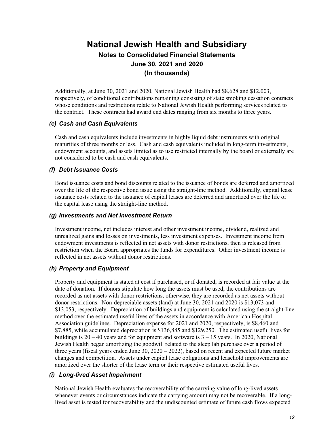Additionally, at June 30, 2021 and 2020, National Jewish Health had \$8,628 and \$12,003, respectively, of conditional contributions remaining consisting of state smoking cessation contracts whose conditions and restrictions relate to National Jewish Health performing services related to the contract. These contracts had award end dates ranging from six months to three years.

#### *(e) Cash and Cash Equivalents*

Cash and cash equivalents include investments in highly liquid debt instruments with original maturities of three months or less. Cash and cash equivalents included in long-term investments, endowment accounts, and assets limited as to use restricted internally by the board or externally are not considered to be cash and cash equivalents.

### *(f) Debt Issuance Costs*

Bond issuance costs and bond discounts related to the issuance of bonds are deferred and amortized over the life of the respective bond issue using the straight-line method. Additionally, capital lease issuance costs related to the issuance of capital leases are deferred and amortized over the life of the capital lease using the straight-line method.

#### *(g) Investments and Net Investment Return*

Investment income, net includes interest and other investment income, dividend, realized and unrealized gains and losses on investments, less investment expenses. Investment income from endowment investments is reflected in net assets with donor restrictions, then is released from restriction when the Board appropriates the funds for expenditures. Other investment income is reflected in net assets without donor restrictions.

#### *(h) Property and Equipment*

Property and equipment is stated at cost if purchased, or if donated, is recorded at fair value at the date of donation. If donors stipulate how long the assets must be used, the contributions are recorded as net assets with donor restrictions, otherwise, they are recorded as net assets without donor restrictions. Non-depreciable assets (land) at June 30, 2021 and 2020 is \$13,073 and \$13,053, respectively. Depreciation of buildings and equipment is calculated using the straight-line method over the estimated useful lives of the assets in accordance with American Hospital Association guidelines. Depreciation expense for 2021 and 2020, respectively, is \$8,460 and \$7,885, while accumulated depreciation is \$136,885 and \$129,250. The estimated useful lives for buildings is  $20 - 40$  years and for equipment and software is  $3 - 15$  years. In 2020, National Jewish Health began amortizing the goodwill related to the sleep lab purchase over a period of three years (fiscal years ended June 30, 2020 – 2022), based on recent and expected future market changes and competition. Assets under capital lease obligations and leasehold improvements are amortized over the shorter of the lease term or their respective estimated useful lives.

#### *(i) Long-lived Asset Impairment*

National Jewish Health evaluates the recoverability of the carrying value of long-lived assets whenever events or circumstances indicate the carrying amount may not be recoverable. If a longlived asset is tested for recoverability and the undiscounted estimate of future cash flows expected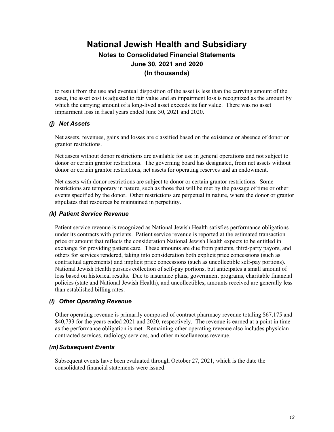to result from the use and eventual disposition of the asset is less than the carrying amount of the asset, the asset cost is adjusted to fair value and an impairment loss is recognized as the amount by which the carrying amount of a long-lived asset exceeds its fair value. There was no asset impairment loss in fiscal years ended June 30, 2021 and 2020.

#### *(j) Net Assets*

Net assets, revenues, gains and losses are classified based on the existence or absence of donor or grantor restrictions.

Net assets without donor restrictions are available for use in general operations and not subject to donor or certain grantor restrictions. The governing board has designated, from net assets without donor or certain grantor restrictions, net assets for operating reserves and an endowment.

Net assets with donor restrictions are subject to donor or certain grantor restrictions. Some restrictions are temporary in nature, such as those that will be met by the passage of time or other events specified by the donor. Other restrictions are perpetual in nature, where the donor or grantor stipulates that resources be maintained in perpetuity.

#### *(k) Patient Service Revenue*

Patient service revenue is recognized as National Jewish Health satisfies performance obligations under its contracts with patients. Patient service revenue is reported at the estimated transaction price or amount that reflects the consideration National Jewish Health expects to be entitled in exchange for providing patient care. These amounts are due from patients, third-party payors, and others for services rendered, taking into consideration both explicit price concessions (such as contractual agreements) and implicit price concessions (such as uncollectible self-pay portions). National Jewish Health pursues collection of self-pay portions, but anticipates a small amount of loss based on historical results. Due to insurance plans, government programs, charitable financial policies (state and National Jewish Health), and uncollectibles, amounts received are generally less than established billing rates.

#### *(l) Other Operating Revenue*

Other operating revenue is primarily composed of contract pharmacy revenue totaling \$67,175 and \$40,733 for the years ended 2021 and 2020, respectively. The revenue is earned at a point in time as the performance obligation is met. Remaining other operating revenue also includes physician contracted services, radiology services, and other miscellaneous revenue.

#### *(m) Subsequent Events*

Subsequent events have been evaluated through October 27, 2021, which is the date the consolidated financial statements were issued.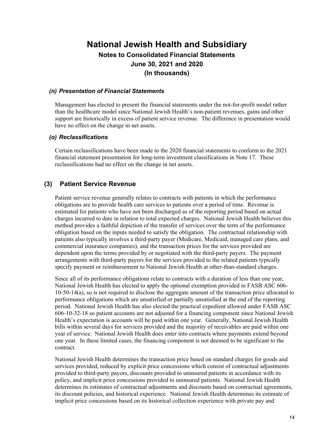#### *(n) Presentation of Financial Statements*

Management has elected to present the financial statements under the not-for-profit model rather than the healthcare model since National Jewish Health's non-patient revenues, gains and other support are historically in excess of patient service revenue. The difference in presentation would have no effect on the change in net assets.

#### *(o) Reclassifications*

Certain reclassifications have been made to the 2020 financial statements to conform to the 2021 financial statement presentation for long-term investment classifications in Note 17. These reclassifications had no effect on the change in net assets.

### **(3) Patient Service Revenue**

Patient service revenue generally relates to contracts with patients in which the performance obligations are to provide health care services to patients over a period of time. Revenue is estimated for patients who have not been discharged as of the reporting period based on actual charges incurred to date in relation to total expected charges. National Jewish Health believes this method provides a faithful depiction of the transfer of services over the term of the performance obligation based on the inputs needed to satisfy the obligation. The contractual relationship with patients also typically involves a third-party payer (Medicare, Medicaid, managed care plans, and commercial insurance companies), and the transaction prices for the services provided are dependent upon the terms provided by or negotiated with the third-party payers. The payment arrangements with third-party payers for the services provided to the related patients typically specify payment or reimbursement to National Jewish Health at other-than-standard charges.

Since all of its performance obligations relate to contracts with a duration of less than one year, National Jewish Health has elected to apply the optional exemption provided in FASB ASC 606- 10-50-14(a), so is not required to disclose the aggregate amount of the transaction price allocated to performance obligations which are unsatisfied or partially unsatisfied at the end of the reporting period. National Jewish Health has also elected the practical expedient allowed under FASB ASC 606-10-32-18 so patient accounts are not adjusted for a financing component since National Jewish Health's expectation is accounts will be paid within one year. Generally, National Jewish Health bills within several days for services provided and the majority of receivables are paid within one year of service. National Jewish Health does enter into contracts where payments extend beyond one year. In these limited cases, the financing component is not deemed to be significant to the contract.

National Jewish Health determines the transaction price based on standard charges for goods and services provided, reduced by explicit price concessions which consist of contractual adjustments provided to third-party payors, discounts provided to uninsured patients in accordance with its policy, and implicit price concessions provided to uninsured patients. National Jewish Health determines its estimates of contractual adjustments and discounts based on contractual agreements, its discount policies, and historical experience. National Jewish Health determines its estimate of implicit price concessions based on its historical collection experience with private pay and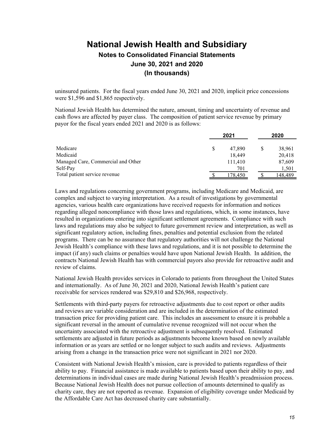uninsured patients. For the fiscal years ended June 30, 2021 and 2020, implicit price concessions were \$1,596 and \$1,865 respectively.

National Jewish Health has determined the nature, amount, timing and uncertainty of revenue and cash flows are affected by payer class. The composition of patient service revenue by primary payor for the fiscal years ended 2021 and 2020 is as follows:

|                                    | 2021    | 2020    |
|------------------------------------|---------|---------|
| Medicare                           | 47.890  | 38,961  |
| Medicaid                           | 18,449  | 20,418  |
| Managed Care, Commercial and Other | 111,410 | 87,609  |
| Self-Pay                           | 701     | 1,501   |
| Total patient service revenue      | 178.450 | 148.489 |

Laws and regulations concerning government programs, including Medicare and Medicaid, are complex and subject to varying interpretation. As a result of investigations by governmental agencies, various health care organizations have received requests for information and notices regarding alleged noncompliance with those laws and regulations, which, in some instances, have resulted in organizations entering into significant settlement agreements. Compliance with such laws and regulations may also be subject to future government review and interpretation, as well as significant regulatory action, including fines, penalties and potential exclusion from the related programs. There can be no assurance that regulatory authorities will not challenge the National Jewish Health's compliance with these laws and regulations, and it is not possible to determine the impact (if any) such claims or penalties would have upon National Jewish Health. In addition, the contracts National Jewish Health has with commercial payors also provide for retroactive audit and review of claims.

National Jewish Health provides services in Colorado to patients from throughout the United States and internationally. As of June 30, 2021 and 2020, National Jewish Health's patient care receivable for services rendered was \$29,810 and \$26,968, respectively.

Settlements with third-party payers for retroactive adjustments due to cost report or other audits and reviews are variable consideration and are included in the determination of the estimated transaction price for providing patient care. This includes an assessment to ensure it is probable a significant reversal in the amount of cumulative revenue recognized will not occur when the uncertainty associated with the retroactive adjustment is subsequently resolved. Estimated settlements are adjusted in future periods as adjustments become known based on newly available information or as years are settled or no longer subject to such audits and reviews. Adjustments arising from a change in the transaction price were not significant in 2021 nor 2020.

Consistent with National Jewish Health's mission, care is provided to patients regardless of their ability to pay. Financial assistance is made available to patients based upon their ability to pay, and determinations in individual cases are made during National Jewish Health's preadmission process. Because National Jewish Health does not pursue collection of amounts determined to qualify as charity care, they are not reported as revenue. Expansion of eligibility coverage under Medicaid by the Affordable Care Act has decreased charity care substantially.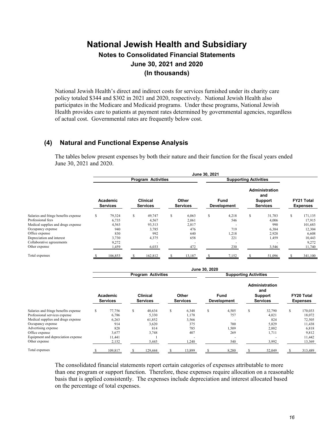National Jewish Health's direct and indirect costs for services furnished under its charity care policy totaled \$344 and \$302 in 2021 and 2020, respectively. National Jewish Health also participates in the Medicare and Medicaid programs. Under these programs, National Jewish Health provides care to patients at payment rates determined by governmental agencies, regardless of actual cost. Governmental rates are frequently below cost.

#### **(4) Natural and Functional Expense Analysis**

The tables below present expenses by both their nature and their function for the fiscal years ended June 30, 2021 and 2020.

|                                      |                             | June 30, 2021 |                                    |         |                          |        |                              |       |                                                     |        |                                      |         |
|--------------------------------------|-----------------------------|---------------|------------------------------------|---------|--------------------------|--------|------------------------------|-------|-----------------------------------------------------|--------|--------------------------------------|---------|
|                                      |                             |               | <b>Program Activities</b>          |         |                          |        | <b>Supporting Activities</b> |       |                                                     |        |                                      |         |
|                                      | Academic<br><b>Services</b> |               | <b>Clinical</b><br><b>Services</b> |         | Other<br><b>Services</b> |        | Fund<br><b>Development</b>   |       | Administration<br>and<br>Support<br><b>Services</b> |        | <b>FY21 Total</b><br><b>Expenses</b> |         |
| Salaries and fringe benefits expense | S                           | 79,324        | \$                                 | 49,747  | \$                       | 6,063  | \$                           | 4,218 | \$                                                  | 31,783 | S                                    | 171,135 |
| Professional fees                    |                             | 6,735         |                                    | 4,567   |                          | 2,061  |                              | 546   |                                                     | 4,006  |                                      | 17,915  |
| Medical supplies and drugs expense   |                             | 4,563         |                                    | 93,313  |                          | 2,817  |                              |       |                                                     | 990    |                                      | 101,683 |
| Occupancy expense                    |                             | 940           |                                    | 3,785   |                          | 476    |                              | 719   |                                                     | 6,384  |                                      | 12,304  |
| Office expense                       |                             | 830           |                                    | 992     |                          | 640    |                              | 1,218 |                                                     | 2,928  |                                      | 6,608   |
| Depreciation and interest            |                             | 3,730         |                                    | 4,375   |                          | 658    |                              | 221   |                                                     | 1,459  |                                      | 10,443  |
| Collaborative agreeements            |                             | 9,272         |                                    |         |                          |        |                              |       |                                                     |        |                                      | 9,272   |
| Other expense                        |                             | 1,459         |                                    | 6,033   |                          | 472    |                              | 230   |                                                     | 3,546  |                                      | 11,740  |
| Total expenses                       |                             | 106,853       |                                    | 162,812 |                          | 13,187 |                              | 7,152 |                                                     | 51,096 |                                      | 341,100 |

|                                      |                             | June 30, 2020 |    |                           |                                                                |        |                            |                              |                                                     |        |                               |         |  |
|--------------------------------------|-----------------------------|---------------|----|---------------------------|----------------------------------------------------------------|--------|----------------------------|------------------------------|-----------------------------------------------------|--------|-------------------------------|---------|--|
|                                      |                             |               |    | <b>Program Activities</b> |                                                                |        |                            | <b>Supporting Activities</b> |                                                     |        |                               |         |  |
|                                      | Academic<br><b>Services</b> |               |    |                           | <b>Clinical</b><br>Other<br><b>Services</b><br><b>Services</b> |        | <b>Fund</b><br>Development |                              | Administration<br>and<br>Support<br><b>Services</b> |        | FY20 Total<br><b>Expenses</b> |         |  |
| Salaries and fringe benefits expense | \$                          | 77,756        | S. | 48,634                    | \$.                                                            | 6,348  | \$                         | 4,505                        | \$                                                  | 32,790 | \$                            | 170,033 |  |
| Professional services expense        |                             | 6,786         |    | 5,330                     |                                                                | 1,178  |                            | 757                          |                                                     | 4,021  |                               | 18,072  |  |
| Medical supplies and drugs expense   |                             | 6,263         |    | 61,852                    |                                                                | 3,566  |                            |                              |                                                     | 824    |                               | 72,505  |  |
| Occupancy expense                    |                             | 914           |    | 3,620                     |                                                                | 375    |                            | 700                          |                                                     | 5,829  |                               | 11,438  |  |
| Advertising expense                  |                             | 828           |    | 814                       |                                                                | 785    |                            | 1,509                        |                                                     | 2,882  |                               | 6,818   |  |
| Office expense                       |                             | 3,677         |    | 3,748                     |                                                                | 407    |                            | 269                          |                                                     | 1,711  |                               | 9,812   |  |
| Equipment and depreciation expense   |                             | 11,441        |    |                           |                                                                |        |                            |                              |                                                     |        |                               | 11,442  |  |
| Other expense                        |                             | 2,152         |    | 5,445                     |                                                                | 1,240  |                            | 540                          |                                                     | 3,992  |                               | 13,369  |  |
| Total expenses                       |                             | 109,817       |    | 129,444                   |                                                                | 13,899 |                            | 8,280                        |                                                     | 52,049 |                               | 313,489 |  |

The consolidated financial statements report certain categories of expenses attributable to more than one program or support function. Therefore, these expenses require allocation on a reasonable basis that is applied consistently. The expenses include depreciation and interest allocated based on the percentage of total expenses.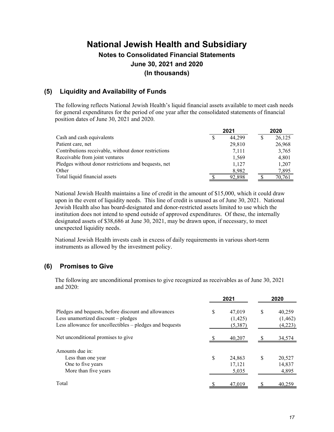### **(5) Liquidity and Availability of Funds**

The following reflects National Jewish Health's liquid financial assets available to meet cash needs for general expenditures for the period of one year after the consolidated statements of financial position dates of June 30, 2021 and 2020.

|                                                      | 2021   | 2020   |
|------------------------------------------------------|--------|--------|
| Cash and cash equivalents                            | 44.299 | 26,125 |
| Patient care, net                                    | 29,810 | 26,968 |
| Contributions receivable, without donor restrictions | 7.111  | 3,765  |
| Receivable from joint ventures                       | 1,569  | 4,801  |
| Pledges without donor restrictions and bequests, net | 1,127  | 1,207  |
| Other                                                | 8,982  | 7,895  |
| Total liquid financial assets                        | 92,898 | 70,761 |

National Jewish Health maintains a line of credit in the amount of \$15,000, which it could draw upon in the event of liquidity needs. This line of credit is unused as of June 30, 2021. National Jewish Health also has board-designated and donor-restricted assets limited to use which the institution does not intend to spend outside of approved expenditures. Of these, the internally designated assets of \$38,686 at June 30, 2021, may be drawn upon, if necessary, to meet unexpected liquidity needs.

National Jewish Health invests cash in excess of daily requirements in various short-term instruments as allowed by the investment policy.

### **(6) Promises to Give**

The following are unconditional promises to give recognized as receivables as of June 30, 2021 and 2020:

|                                                                                                                                                         | 2021 |                               | 2020 |                               |
|---------------------------------------------------------------------------------------------------------------------------------------------------------|------|-------------------------------|------|-------------------------------|
| Pledges and bequests, before discount and allowances<br>Less unamortized discount – pledges<br>Less allowance for uncollectibles – pledges and bequests | S    | 47,019<br>(1, 425)<br>(5,387) | S    | 40,259<br>(1, 462)<br>(4,223) |
| Net unconditional promises to give                                                                                                                      |      | 40.207                        |      | 34,574                        |
| Amounts due in:<br>Less than one year<br>One to five years<br>More than five years                                                                      | \$   | 24,863<br>17,121<br>5,035     | S    | 20,527<br>14,837<br>4,895     |
| Total                                                                                                                                                   |      | 47,019                        |      | 40,259                        |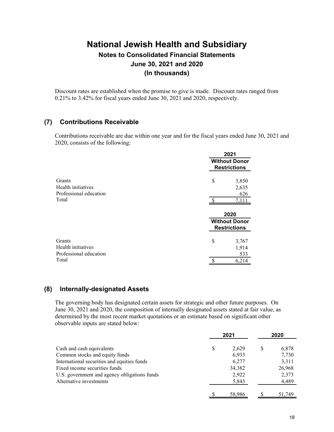Discount rates are established when the promise to give is made. Discount rates ranged from 0.21% to 3.42% for fiscal years ended June 30, 2021 and 2020, respectively.

#### **(7) Contributions Receivable**

Contributions receivable are due within one year and for the fiscal years ended June 30, 2021 and 2020, consists of the following:

|                        | 2021                                        |
|------------------------|---------------------------------------------|
|                        | <b>Without Donor</b><br><b>Restrictions</b> |
| Grants                 | \$<br>3,850                                 |
| Health initiatives     | 2,635                                       |
| Professional education | 626                                         |
| Total                  | 7,111                                       |
|                        | 2020                                        |
|                        | <b>Without Donor</b><br><b>Restrictions</b> |
| Grants                 |                                             |
|                        | \$<br>3,767                                 |
| Health initiatives     | 1,914                                       |
| Professional education | 533                                         |
| Total                  | 6,214                                       |

#### **(8) Internally-designated Assets**

The governing body has designated certain assets for strategic and other future purposes. On June 30, 2021 and 2020, the composition of internally designated assets stated at fair value, as determined by the most recent market quotations or an estimate based on significant other observable inputs are stated below:

|                                              |   | 2021   |   | 2020   |
|----------------------------------------------|---|--------|---|--------|
| Cash and cash equivalents                    | S | 2,629  | S | 6,878  |
| Common stocks and equity funds               |   | 6,933  |   | 7,730  |
| International securities and equities funds  |   | 6,277  |   | 3,311  |
| Fixed income securities funds                |   | 34,382 |   | 26,968 |
| U.S. government and agency obligations funds |   | 2,922  |   | 2,373  |
| Alternative investments                      |   | 5,843  |   | 4,489  |
|                                              |   | 58,986 |   | 51.749 |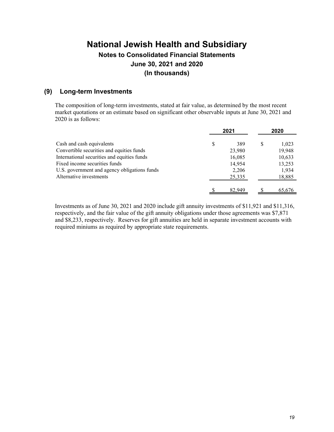### **(9) Long-term Investments**

The composition of long-term investments, stated at fair value, as determined by the most recent market quotations or an estimate based on significant other observable inputs at June 30, 2021 and 2020 is as follows:

|                                              |   | 2021   |    | 2020   |
|----------------------------------------------|---|--------|----|--------|
| Cash and cash equivalents                    | S | 389    | -S | 1,023  |
| Convertible securities and equities funds    |   | 23,980 |    | 19,948 |
| International securities and equities funds  |   | 16,085 |    | 10,633 |
| Fixed income securities funds                |   | 14,954 |    | 13,253 |
| U.S. government and agency obligations funds |   | 2,206  |    | 1,934  |
| Alternative investments                      |   | 25,335 |    | 18,885 |
|                                              |   | 82.949 |    | 65,676 |

Investments as of June 30, 2021 and 2020 include gift annuity investments of \$11,921 and \$11,316, respectively, and the fair value of the gift annuity obligations under those agreements was \$7,871 and \$8,233, respectively. Reserves for gift annuities are held in separate investment accounts with required miniums as required by appropriate state requirements.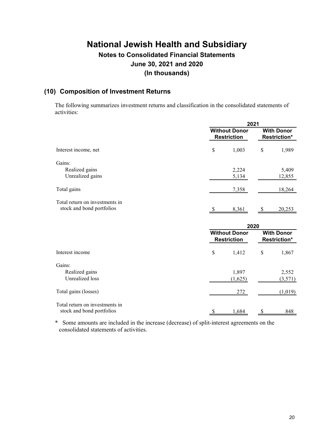### **(10) Composition of Investment Returns**

The following summarizes investment returns and classification in the consolidated statements of activities:

|                                                             |                                            | 2021                                                                    |                                          |                     |  |
|-------------------------------------------------------------|--------------------------------------------|-------------------------------------------------------------------------|------------------------------------------|---------------------|--|
|                                                             | <b>Without Donor</b><br><b>Restriction</b> |                                                                         | <b>With Donor</b><br><b>Restriction*</b> |                     |  |
| Interest income, net                                        | \$                                         | 1,003                                                                   | \$                                       | 1,989               |  |
| Gains:                                                      |                                            |                                                                         |                                          |                     |  |
| Realized gains                                              |                                            | 2,224                                                                   |                                          | 5,409               |  |
| Unrealized gains                                            |                                            | 5,134                                                                   |                                          | 12,855              |  |
| Total gains                                                 |                                            | 7,358                                                                   |                                          | 18,264              |  |
| Total return on investments in<br>stock and bond portfolios |                                            | 8,361                                                                   |                                          | 20,253              |  |
|                                                             |                                            | 2020<br><b>Without Donor</b><br><b>With Donor</b><br><b>Restriction</b> |                                          |                     |  |
|                                                             |                                            |                                                                         |                                          | <b>Restriction*</b> |  |
| Interest income                                             | \$                                         | 1,412                                                                   | \$                                       | 1,867               |  |
| Gains:                                                      |                                            |                                                                         |                                          |                     |  |
| Realized gains                                              |                                            | 1,897                                                                   |                                          | 2,552               |  |
| Unrealized loss                                             |                                            | (1,625)                                                                 |                                          | (3,571)             |  |
| Total gains (losses)                                        |                                            | 272                                                                     |                                          | (1,019)             |  |
| Total return on investments in                              |                                            |                                                                         |                                          |                     |  |
| stock and bond portfolios                                   | $\mathcal{S}_{0}$                          | 1,684                                                                   | S                                        | 848                 |  |

\* Some amounts are included in the increase (decrease) of split-interest agreements on the consolidated statements of activities.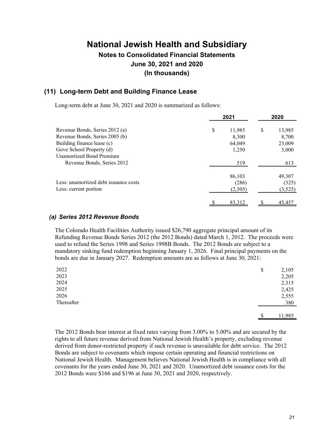#### **(11) Long-term Debt and Building Finance Lease**

Long-term debt at June 30, 2021 and 2020 is summarized as follows:

|                                       | 2021 |         |               |         | 2020 |  |
|---------------------------------------|------|---------|---------------|---------|------|--|
| Revenue Bonds, Series 2012 (a)        | \$   | 11,985  | <sup>\$</sup> | 13,985  |      |  |
| Revenue Bonds, Series 2005 (b)        |      | 8,300   |               | 8,700   |      |  |
| Building finance lease (c)            |      | 64,049  |               | 23,009  |      |  |
| Gove School Property (d)              |      | 1,250   |               | 3,000   |      |  |
| Unamortized Bond Premium              |      |         |               |         |      |  |
| Revenue Bonds, Series 2012            |      | 519     |               | 613     |      |  |
|                                       |      | 86,103  |               | 49,307  |      |  |
| Less: unamortized debt issuance costs |      | (286)   |               | (325)   |      |  |
| Less: current portion                 |      | (2,505) |               | (3,525) |      |  |
|                                       |      | 83,312  |               | 45,457  |      |  |

#### *(a) Series 2012 Revenue Bonds*

The Colorado Health Facilities Authority issued \$26,790 aggregate principal amount of its Refunding Revenue Bonds Series 2012 (the 2012 Bonds) dated March 1, 2012. The proceeds were used to refund the Series 1998 and Series 1998B Bonds. The 2012 Bonds are subject to a mandatory sinking fund redemption beginning January 1, 2026. Final principal payments on the bonds are due in January 2027. Redemption amounts are as follows at June 30, 2021:

| 2022       | \$<br>2,105 |
|------------|-------------|
| 2023       | 2,205       |
| 2024       | 2,315       |
| 2025       | 2,425       |
| 2026       | 2,555       |
| Thereafter | 380         |
|            |             |
|            | 11,985      |

The 2012 Bonds bear interest at fixed rates varying from 3.00% to 5.00% and are secured by the rights to all future revenue derived from National Jewish Health's property, excluding revenue derived from donor-restricted property if such revenue is unavailable for debt service. The 2012 Bonds are subject to covenants which impose certain operating and financial restrictions on National Jewish Health. Management believes National Jewish Health is in compliance with all covenants for the years ended June 30, 2021 and 2020. Unamortized debt issuance costs for the 2012 Bonds were \$166 and \$196 at June 30, 2021 and 2020, respectively.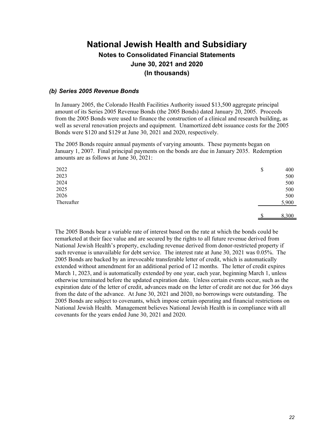#### *(b) Series 2005 Revenue Bonds*

In January 2005, the Colorado Health Facilities Authority issued \$13,500 aggregate principal amount of its Series 2005 Revenue Bonds (the 2005 Bonds) dated January 20, 2005. Proceeds from the 2005 Bonds were used to finance the construction of a clinical and research building, as well as several renovation projects and equipment. Unamortized debt issuance costs for the 2005 Bonds were \$120 and \$129 at June 30, 2021 and 2020, respectively.

The 2005 Bonds require annual payments of varying amounts. These payments began on January 1, 2007. Final principal payments on the bonds are due in January 2035. Redemption amounts are as follows at June 30, 2021:

| 2022       | \$<br>400   |
|------------|-------------|
| 2023       | 500         |
| 2024       | 500         |
| 2025       | 500         |
| 2026       | 500         |
| Thereafter | 5,900       |
|            |             |
|            | \$<br>8,300 |

The 2005 Bonds bear a variable rate of interest based on the rate at which the bonds could be remarketed at their face value and are secured by the rights to all future revenue derived from National Jewish Health's property, excluding revenue derived from donor-restricted property if such revenue is unavailable for debt service. The interest rate at June 30, 2021 was 0.05%. The 2005 Bonds are backed by an irrevocable transferable letter of credit, which is automatically extended without amendment for an additional period of 12 months. The letter of credit expires March 1, 2023, and is automatically extended by one year, each year, beginning March 1, unless otherwise terminated before the updated expiration date. Unless certain events occur, such as the expiration date of the letter of credit, advances made on the letter of credit are not due for 366 days from the date of the advance. At June 30, 2021 and 2020, no borrowings were outstanding. The 2005 Bonds are subject to covenants, which impose certain operating and financial restrictions on National Jewish Health. Management believes National Jewish Health is in compliance with all covenants for the years ended June 30, 2021 and 2020.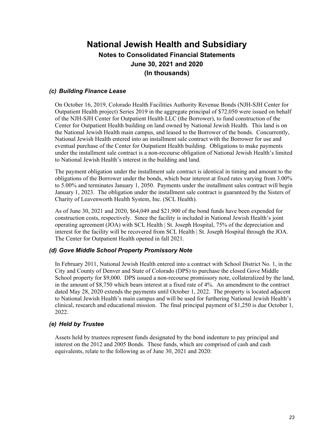#### *(c) Building Finance Lease*

On October 16, 2019, Colorado Health Facilities Authority Revenue Bonds (NJH-SJH Center for Outpatient Health project) Series 2019 in the aggregate principal of \$72,050 were issued on behalf of the NJH-SJH Center for Outpatient Health LLC (the Borrower), to fund construction of the Center for Outpatient Health building on land owned by National Jewish Health. This land is on the National Jewish Health main campus, and leased to the Borrower of the bonds. Concurrently, National Jewish Health entered into an installment sale contract with the Borrower for use and eventual purchase of the Center for Outpatient Health building. Obligations to make payments under the installment sale contract is a non-recourse obligation of National Jewish Health's limited to National Jewish Health's interest in the building and land.

The payment obligation under the installment sale contract is identical in timing and amount to the obligations of the Borrower under the bonds, which bear interest at fixed rates varying from 3.00% to 5.00% and terminates January 1, 2050. Payments under the installment sales contract will begin January 1, 2023. The obligation under the installment sale contract is guaranteed by the Sisters of Charity of Leavenworth Health System, Inc. (SCL Health).

As of June 30, 2021 and 2020, \$64,049 and \$21,900 of the bond funds have been expended for construction costs, respectively. Since the facility is included in National Jewish Health's joint operating agreement (JOA) with SCL Health | St. Joseph Hospital, 75% of the depreciation and interest for the facility will be recovered from SCL Health | St. Joseph Hospital through the JOA. The Center for Outpatient Health opened in fall 2021.

#### *(d) Gove Middle School Property Promissory Note*

In February 2011, National Jewish Health entered into a contract with School District No. 1, in the City and County of Denver and State of Colorado (DPS) to purchase the closed Gove Middle School property for \$9,000. DPS issued a non-recourse promissory note, collateralized by the land, in the amount of \$8,750 which bears interest at a fixed rate of 4%. An amendment to the contract dated May 28, 2020 extends the payments until October 1, 2022. The property is located adjacent to National Jewish Health's main campus and will be used for furthering National Jewish Health's clinical, research and educational mission. The final principal payment of \$1,250 is due October 1, 2022.

#### *(e) Held by Trustee*

Assets held by trustees represent funds designated by the bond indenture to pay principal and interest on the 2012 and 2005 Bonds. These funds, which are comprised of cash and cash equivalents, relate to the following as of June 30, 2021 and 2020: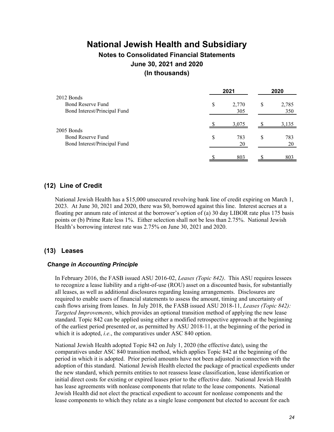**(In thousands)** 

|                                                                        | 2021 |              | 2020 |              |
|------------------------------------------------------------------------|------|--------------|------|--------------|
| 2012 Bonds<br><b>Bond Reserve Fund</b><br>Bond Interest/Principal Fund | \$   | 2,770<br>305 | S    | 2,785<br>350 |
| 2005 Bonds                                                             |      | 3,075        |      | 3,135        |
| <b>Bond Reserve Fund</b><br>Bond Interest/Principal Fund               | \$   | 783<br>20    | S    | 783<br>20    |
|                                                                        |      | 803          |      | 803          |

### **(12) Line of Credit**

National Jewish Health has a \$15,000 unsecured revolving bank line of credit expiring on March 1, 2023. At June 30, 2021 and 2020, there was \$0, borrowed against this line. Interest accrues at a floating per annum rate of interest at the borrower's option of (a) 30 day LIBOR rate plus 175 basis points or (b) Prime Rate less 1%. Either selection shall not be less than 2.75%. National Jewish Health's borrowing interest rate was 2.75% on June 30, 2021 and 2020.

#### **(13) Leases**

#### *Change in Accounting Principle*

In February 2016, the FASB issued ASU 2016-02, *Leases (Topic 842)*. This ASU requires lessees to recognize a lease liability and a right-of-use (ROU) asset on a discounted basis, for substantially all leases, as well as additional disclosures regarding leasing arrangements. Disclosures are required to enable users of financial statements to assess the amount, timing and uncertainty of cash flows arising from leases. In July 2018, the FASB issued ASU 2018-11, *Leases (Topic 842): Targeted Improvements*, which provides an optional transition method of applying the new lease standard. Topic 842 can be applied using either a modified retrospective approach at the beginning of the earliest period presented or, as permitted by ASU 2018-11, at the beginning of the period in which it is adopted, *i.e*., the comparatives under ASC 840 option.

National Jewish Health adopted Topic 842 on July 1, 2020 (the effective date), using the comparatives under ASC 840 transition method, which applies Topic 842 at the beginning of the period in which it is adopted. Prior period amounts have not been adjusted in connection with the adoption of this standard. National Jewish Health elected the package of practical expedients under the new standard, which permits entities to not reassess lease classification, lease identification or initial direct costs for existing or expired leases prior to the effective date. National Jewish Health has lease agreements with nonlease components that relate to the lease components. National Jewish Health did not elect the practical expedient to account for nonlease components and the lease components to which they relate as a single lease component but elected to account for each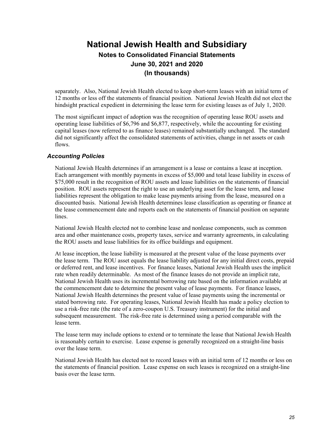separately. Also, National Jewish Health elected to keep short-term leases with an initial term of 12 months or less off the statements of financial position. National Jewish Health did not elect the hindsight practical expedient in determining the lease term for existing leases as of July 1, 2020.

The most significant impact of adoption was the recognition of operating lease ROU assets and operating lease liabilities of \$6,796 and \$6,877, respectively, while the accounting for existing capital leases (now referred to as finance leases) remained substantially unchanged. The standard did not significantly affect the consolidated statements of activities, change in net assets or cash flows.

#### *Accounting Policies*

National Jewish Health determines if an arrangement is a lease or contains a lease at inception. Each arrangement with monthly payments in excess of \$5,000 and total lease liability in excess of \$75,000 result in the recognition of ROU assets and lease liabilities on the statements of financial position. ROU assets represent the right to use an underlying asset for the lease term, and lease liabilities represent the obligation to make lease payments arising from the lease, measured on a discounted basis. National Jewish Health determines lease classification as operating or finance at the lease commencement date and reports each on the statements of financial position on separate lines.

National Jewish Health elected not to combine lease and nonlease components, such as common area and other maintenance costs, property taxes, service and warranty agreements, in calculating the ROU assets and lease liabilities for its office buildings and equipment.

At lease inception, the lease liability is measured at the present value of the lease payments over the lease term. The ROU asset equals the lease liability adjusted for any initial direct costs, prepaid or deferred rent, and lease incentives. For finance leases, National Jewish Health uses the implicit rate when readily determinable. As most of the finance leases do not provide an implicit rate, National Jewish Health uses its incremental borrowing rate based on the information available at the commencement date to determine the present value of lease payments. For finance leases, National Jewish Health determines the present value of lease payments using the incremental or stated borrowing rate. For operating leases, National Jewish Health has made a policy election to use a risk-free rate (the rate of a zero-coupon U.S. Treasury instrument) for the initial and subsequent measurement. The risk-free rate is determined using a period comparable with the lease term.

The lease term may include options to extend or to terminate the lease that National Jewish Health is reasonably certain to exercise. Lease expense is generally recognized on a straight-line basis over the lease term.

National Jewish Health has elected not to record leases with an initial term of 12 months or less on the statements of financial position. Lease expense on such leases is recognized on a straight-line basis over the lease term.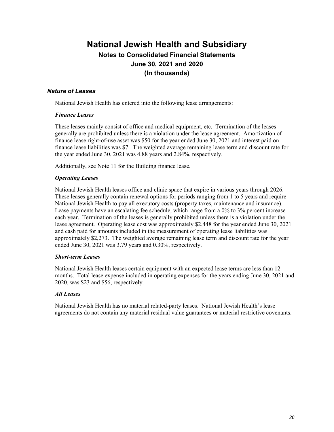#### *Nature of Leases*

National Jewish Health has entered into the following lease arrangements:

#### *Finance Leases*

These leases mainly consist of office and medical equipment, etc. Termination of the leases generally are prohibited unless there is a violation under the lease agreement. Amortization of finance lease right-of-use asset was \$50 for the year ended June 30, 2021 and interest paid on finance lease liabilities was \$7. The weighted average remaining lease term and discount rate for the year ended June 30, 2021 was 4.88 years and 2.84%, respectively.

Additionally, see Note 11 for the Building finance lease.

#### *Operating Leases*

National Jewish Health leases office and clinic space that expire in various years through 2026. These leases generally contain renewal options for periods ranging from 1 to 5 years and require National Jewish Health to pay all executory costs (property taxes, maintenance and insurance). Lease payments have an escalating fee schedule, which range from a 0% to 3% percent increase each year. Termination of the leases is generally prohibited unless there is a violation under the lease agreement. Operating lease cost was approximately \$2,448 for the year ended June 30, 2021 and cash paid for amounts included in the measurement of operating lease liabilities was approximately \$2,273. The weighted average remaining lease term and discount rate for the year ended June 30, 2021 was 3.79 years and 0.30%, respectively.

#### *Short-term Leases*

National Jewish Health leases certain equipment with an expected lease terms are less than 12 months. Total lease expense included in operating expenses for the years ending June 30, 2021 and 2020, was \$23 and \$56, respectively.

#### *All Leases*

National Jewish Health has no material related-party leases. National Jewish Health's lease agreements do not contain any material residual value guarantees or material restrictive covenants.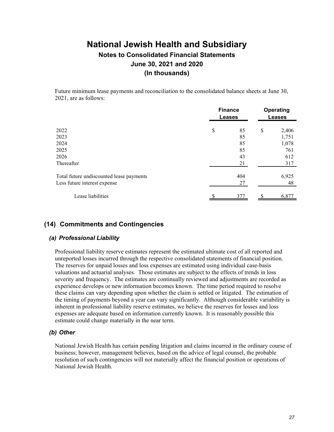Future minimum lease payments and reconciliation to the consolidated balance sheets at June 30, 2021, are as follows:

|                                          | <b>Finance</b><br><b>Leases</b> |    |       |
|------------------------------------------|---------------------------------|----|-------|
| 2022                                     | \$<br>85                        | \$ | 2,406 |
| 2023                                     | 85                              |    | 1,751 |
| 2024                                     | 85                              |    | 1,078 |
| 2025                                     | 85                              |    | 761   |
| 2026                                     | 43                              |    | 612   |
| Thereafter                               | 21                              |    | 317   |
| Total future undiscounted lease payments | 404                             |    | 6,925 |
| Less future interest expense             | 27                              |    | 48    |
| Lease liabilities                        | 377                             |    | 6,877 |

### **(14) Commitments and Contingencies**

#### *(a) Professional Liability*

Professional liability reserve estimates represent the estimated ultimate cost of all reported and unreported losses incurred through the respective consolidated statements of financial position. The reserves for unpaid losses and loss expenses are estimated using individual case-basis valuations and actuarial analyses. Those estimates are subject to the effects of trends in loss severity and frequency. The estimates are continually reviewed and adjustments are recorded as experience develops or new information becomes known. The time period required to resolve these claims can vary depending upon whether the claim is settled or litigated. The estimation of the timing of payments beyond a year can vary significantly. Although considerable variability is inherent in professional liability reserve estimates, we believe the reserves for losses and loss expenses are adequate based on information currently known. It is reasonably possible this estimate could change materially in the near term.

#### *(b) Other*

National Jewish Health has certain pending litigation and claims incurred in the ordinary course of business; however, management believes, based on the advice of legal counsel, the probable resolution of such contingencies will not materially affect the financial position or operations of National Jewish Health.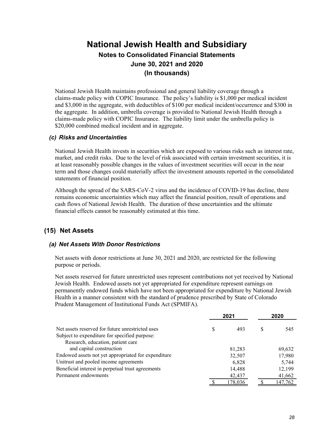National Jewish Health maintains professional and general liability coverage through a claims-made policy with COPIC Insurance. The policy's liability is \$1,000 per medical incident and \$3,000 in the aggregate, with deductibles of \$100 per medical incident/occurrence and \$300 in the aggregate. In addition, umbrella coverage is provided to National Jewish Health through a claims-made policy with COPIC Insurance. The liability limit under the umbrella policy is \$20,000 combined medical incident and in aggregate.

#### *(c) Risks and Uncertainties*

National Jewish Health invests in securities which are exposed to various risks such as interest rate, market, and credit risks. Due to the level of risk associated with certain investment securities, it is at least reasonably possible changes in the values of investment securities will occur in the near term and those changes could materially affect the investment amounts reported in the consolidated statements of financial position.

Although the spread of the SARS-CoV-2 virus and the incidence of COVID-19 has decline, there remains economic uncertainties which may affect the financial position, result of operations and cash flows of National Jewish Health. The duration of these uncertainties and the ultimate financial effects cannot be reasonably estimated at this time.

### **(15) Net Assets**

#### *(a) Net Assets With Donor Restrictions*

Net assets with donor restrictions at June 30, 2021 and 2020, are restricted for the following purpose or periods.

Net assets reserved for future unrestricted uses represent contributions not yet received by National Jewish Health. Endowed assets not yet appropriated for expenditure represent earnings on permanently endowed funds which have not been appropriated for expenditure by National Jewish Health in a manner consistent with the standard of prudence prescribed by State of Colorado Prudent Management of Institutional Funds Act (SPMIFA).

|                                                     |   | 2021    |   | 2020    |
|-----------------------------------------------------|---|---------|---|---------|
| Net assets reserved for future unrestricted uses    | S | 493     | S | 545     |
| Subject to expenditure for specified purpose:       |   |         |   |         |
| Research, education, patient care                   |   |         |   |         |
| and capital construction                            |   | 81,283  |   | 69,632  |
| Endowed assets not yet appropriated for expenditure |   | 32,507  |   | 17,980  |
| Unitrust and pooled income agreements               |   | 6,828   |   | 5,744   |
| Beneficial interest in perpetual trust agreements   |   | 14,488  |   | 12.199  |
| Permanent endowments                                |   | 42,437  |   | 41,662  |
|                                                     |   | 178,036 |   | 147.762 |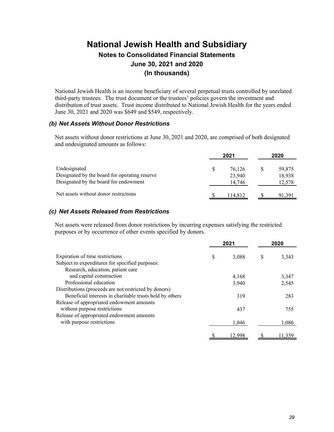National Jewish Health is an income beneficiary of several perpetual trusts controlled by unrelated third-party trustees. The trust document or the trustees' policies govern the investment and distribution of trust assets. Trust income distributed to National Jewish Health for the years ended June 30, 2021 and 2020 was \$649 and \$549, respectively.

#### *(b) Net Assets Without Donor Restrictions*

Net assets without donor restrictions at June 30, 2021 and 2020, are comprised of both designated and undesignated amounts as follows:

|                                                               | 2021 |                  | 2020 |                  |
|---------------------------------------------------------------|------|------------------|------|------------------|
| Undesignated<br>Designated by the board for operating reserve |      | 76.126           |      | 59,875           |
| Designated by the board for endowment                         |      | 23,940<br>14,746 |      | 18,938<br>12,578 |
| Net assets without donor restrictions                         |      | 114,812          |      | 91,391           |

#### *(c) Net Assets Released from Restrictions*

Net assets were released from donor restrictions by incurring expenses satisfying the restricted purposes or by occurrence of other events specified by donors.

|                                                          |   | 2021   | 2020 |       |
|----------------------------------------------------------|---|--------|------|-------|
| Expiration of time restrictions                          | S | 3.088  | S    | 3,343 |
| Subject to expenditures for specified purposes:          |   |        |      |       |
| Research, education, patient care                        |   |        |      |       |
| and capital construction                                 |   | 4,168  |      | 3,347 |
| Professional education                                   |   | 3.940  |      | 2,545 |
| Distributions (proceeds are not restricted by donors)    |   |        |      |       |
| Beneficial interests in charitable trusts held by others |   | 319    |      | 283   |
| Release of appropriated endowment amounts                |   |        |      |       |
| without purpose restrictions                             |   | 437    |      | 755   |
| Release of appropriated endowment amounts                |   |        |      |       |
| with purpose restrictions                                |   | 1.046  |      | 1,086 |
|                                                          |   | 12.998 |      | 1.359 |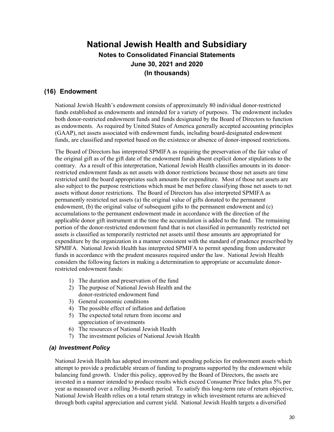### **(16) Endowment**

National Jewish Health's endowment consists of approximately 80 individual donor-restricted funds established as endowments and intended for a variety of purposes. The endowment includes both donor-restricted endowment funds and funds designated by the Board of Directors to function as endowments. As required by United States of America generally accepted accounting principles (GAAP), net assets associated with endowment funds, including board-designated endowment funds, are classified and reported based on the existence or absence of donor-imposed restrictions.

The Board of Directors has interpreted SPMIFA as requiring the preservation of the fair value of the original gift as of the gift date of the endowment funds absent explicit donor stipulations to the contrary. As a result of this interpretation, National Jewish Health classifies amounts in its donorrestricted endowment funds as net assets with donor restrictions because those net assets are time restricted until the board appropriates such amounts for expenditure. Most of those net assets are also subject to the purpose restrictions which must be met before classifying those net assets to net assets without donor restrictions. The Board of Directors has also interpreted SPMIFA as permanently restricted net assets (a) the original value of gifts donated to the permanent endowment, (b) the original value of subsequent gifts to the permanent endowment and (c) accumulations to the permanent endowment made in accordance with the direction of the applicable donor gift instrument at the time the accumulation is added to the fund. The remaining portion of the donor-restricted endowment fund that is not classified in permanently restricted net assets is classified as temporarily restricted net assets until those amounts are appropriated for expenditure by the organization in a manner consistent with the standard of prudence prescribed by SPMIFA. National Jewish Health has interpreted SPMIFA to permit spending from underwater funds in accordance with the prudent measures required under the law. National Jewish Health considers the following factors in making a determination to appropriate or accumulate donorrestricted endowment funds:

- 1) The duration and preservation of the fund
- 2) The purpose of National Jewish Health and the donor-restricted endowment fund
- 3) General economic conditions
- 4) The possible effect of inflation and deflation
- 5) The expected total return from income and appreciation of investments
- 6) The resources of National Jewish Health
- 7) The investment policies of National Jewish Health

#### *(a) Investment Policy*

National Jewish Health has adopted investment and spending policies for endowment assets which attempt to provide a predictable stream of funding to programs supported by the endowment while balancing fund growth. Under this policy, approved by the Board of Directors, the assets are invested in a manner intended to produce results which exceed Consumer Price Index plus 5% per year as measured over a rolling 36-month period. To satisfy this long-term rate of return objective, National Jewish Health relies on a total return strategy in which investment returns are achieved through both capital appreciation and current yield. National Jewish Health targets a diversified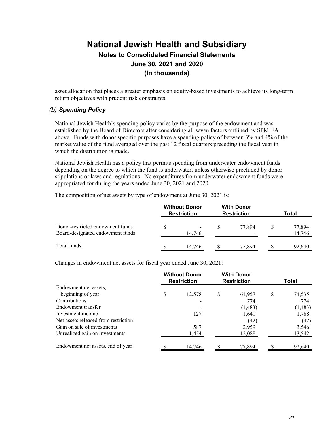asset allocation that places a greater emphasis on equity-based investments to achieve its long-term return objectives with prudent risk constraints.

#### *(b) Spending Policy*

National Jewish Health's spending policy varies by the purpose of the endowment and was established by the Board of Directors after considering all seven factors outlined by SPMIFA above. Funds with donor specific purposes have a spending policy of between 3% and 4% of the market value of the fund averaged over the past 12 fiscal quarters preceding the fiscal year in which the distribution is made.

National Jewish Health has a policy that permits spending from underwater endowment funds depending on the degree to which the fund is underwater, unless otherwise precluded by donor stipulations or laws and regulations. No expenditures from underwater endowment funds were appropriated for during the years ended June 30, 2021 and 2020.

The composition of net assets by type of endowment at June 30, 2021 is:

|                                                                      | <b>Without Donor</b><br><b>Restriction</b> |                                    | <b>With Donor</b><br><b>Restriction</b> |             | Total |                  |  |
|----------------------------------------------------------------------|--------------------------------------------|------------------------------------|-----------------------------------------|-------------|-------|------------------|--|
| Donor-restricted endowment funds<br>Board-designated endowment funds | S                                          | $\overline{\phantom{a}}$<br>14.746 |                                         | 77.894<br>- |       | 77,894<br>14,746 |  |
| Total funds                                                          |                                            | 14.746                             |                                         | 77.894      |       | 92,640           |  |

Changes in endowment net assets for fiscal year ended June 30, 2021:

|                                      | <b>Without Donor</b><br><b>Restriction</b> |        | <b>With Donor</b><br><b>Restriction</b> |          | Total |          |  |
|--------------------------------------|--------------------------------------------|--------|-----------------------------------------|----------|-------|----------|--|
| Endowment net assets,                |                                            |        |                                         |          |       |          |  |
| beginning of year                    | \$                                         | 12,578 | \$                                      | 61,957   | S     | 74,535   |  |
| Contributions                        |                                            |        |                                         | 774      |       | 774      |  |
| Endowment transfer                   |                                            |        |                                         | (1, 483) |       | (1, 483) |  |
| Investment income                    |                                            | 127    |                                         | 1,641    |       | 1,768    |  |
| Net assets released from restriction |                                            |        |                                         | (42)     |       | (42)     |  |
| Gain on sale of investments          |                                            | 587    |                                         | 2,959    |       | 3,546    |  |
| Unrealized gain on investments       |                                            | 1,454  |                                         | 12,088   |       | 13,542   |  |
| Endowment net assets, end of year    |                                            | 14,746 |                                         | 77,894   |       | 92,640   |  |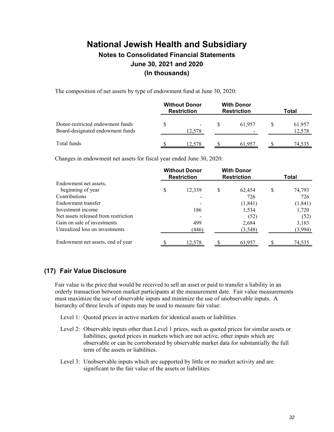The composition of net assets by type of endowment fund at June 30, 2020:

|                                                                      | <b>Without Donor</b><br><b>Restriction</b> |                                    | <b>With Donor</b><br><b>Restriction</b> | Total |                  |  |
|----------------------------------------------------------------------|--------------------------------------------|------------------------------------|-----------------------------------------|-------|------------------|--|
| Donor-restricted endowment funds<br>Board-designated endowment funds |                                            | $\overline{\phantom{a}}$<br>12.578 | 61.957                                  |       | 61,957<br>12,578 |  |
| Total funds                                                          |                                            | 12.578                             | 61.957                                  |       | 74,535           |  |

Changes in endowment net assets for fiscal year ended June 30, 2020:

|                                      | <b>Without Donor</b><br><b>Restriction</b> |        |   | <b>With Donor</b><br><b>Restriction</b> | Total |          |  |
|--------------------------------------|--------------------------------------------|--------|---|-----------------------------------------|-------|----------|--|
| Endowment net assets,                |                                            |        |   |                                         |       |          |  |
| beginning of year                    | S                                          | 12,339 | S | 62,454                                  | S     | 74,793   |  |
| <b>Contributions</b>                 |                                            |        |   | 726                                     |       | 726      |  |
| Endowment transfer                   |                                            |        |   | (1, 841)                                |       | (1, 841) |  |
| Investment income                    |                                            | 186    |   | 1,534                                   |       | 1,720    |  |
| Net assets released from restriction |                                            |        |   | (52)                                    |       | (52)     |  |
| Gain on sale of investments          |                                            | 499    |   | 2,684                                   |       | 3,183    |  |
| Unrealized loss on investments       |                                            | (446)  |   | (3,548)                                 |       | (3,994)  |  |
| Endowment net assets, end of year    |                                            | 12.578 |   | 61,957                                  |       | 74,535   |  |

### **(17) Fair Value Disclosure**

Fair value is the price that would be received to sell an asset or paid to transfer a liability in an orderly transaction between market participants at the measurement date. Fair value measurements must maximize the use of observable inputs and minimize the use of unobservable inputs. A hierarchy of three levels of inputs may be used to measure fair value:

- Level 1: Quoted prices in active markets for identical assets or liabilities
- Level 2: Observable inputs other than Level 1 prices, such as quoted prices for similar assets or liabilities; quoted prices in markets which are not active, other inputs which are observable or can be corroborated by observable market data for substantially the full term of the assets or liabilities.
- Level 3: Unobservable inputs which are supported by little or no market activity and are significant to the fair value of the assets or liabilities.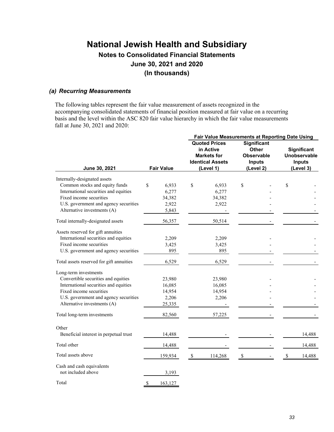#### *(a) Recurring Measurements*

The following tables represent the fair value measurement of assets recognized in the accompanying consolidated statements of financial position measured at fair value on a recurring basis and the level within the ASC 820 fair value hierarchy in which the fair value measurements fall at June 30, 2021 and 2020:

|                                          |    |                   |    |                                                                                    | Fair Value Measurements at Reporting Date Using |                                                            |    |                                              |  |
|------------------------------------------|----|-------------------|----|------------------------------------------------------------------------------------|-------------------------------------------------|------------------------------------------------------------|----|----------------------------------------------|--|
|                                          |    |                   |    | <b>Quoted Prices</b><br>in Active<br><b>Markets for</b><br><b>Identical Assets</b> |                                                 | Significant<br>Other<br><b>Observable</b><br><b>Inputs</b> |    | Significant<br>Unobservable<br><b>Inputs</b> |  |
| June 30, 2021                            |    | <b>Fair Value</b> |    | (Level 1)                                                                          | (Level 2)                                       |                                                            |    | (Level 3)                                    |  |
| Internally-designated assets             |    |                   |    |                                                                                    |                                                 |                                                            |    |                                              |  |
| Common stocks and equity funds           | \$ | 6,933             | \$ | 6,933                                                                              | \$                                              |                                                            | \$ |                                              |  |
| International securities and equities    |    | 6,277             |    | 6,277                                                                              |                                                 |                                                            |    |                                              |  |
| Fixed income securities                  |    | 34,382            |    | 34,382                                                                             |                                                 |                                                            |    |                                              |  |
| U.S. government and agency securities    |    | 2,922             |    | 2,922                                                                              |                                                 |                                                            |    |                                              |  |
| Alternative investments (A)              |    | 5,843             |    |                                                                                    |                                                 |                                                            |    |                                              |  |
| Total internally-designated assets       |    | 56,357            |    | 50,514                                                                             |                                                 |                                                            |    |                                              |  |
| Assets reserved for gift annuities       |    |                   |    |                                                                                    |                                                 |                                                            |    |                                              |  |
| International securities and equities    |    | 2,209             |    | 2,209                                                                              |                                                 |                                                            |    |                                              |  |
| Fixed income securities                  |    | 3,425             |    | 3,425                                                                              |                                                 |                                                            |    |                                              |  |
| U.S. government and agency securities    |    | 895               |    | 895                                                                                |                                                 |                                                            |    |                                              |  |
| Total assets reserved for gift annuities |    | 6,529             |    | 6,529                                                                              |                                                 |                                                            |    |                                              |  |
| Long-term investments                    |    |                   |    |                                                                                    |                                                 |                                                            |    |                                              |  |
| Convertible securities and equities      |    | 23,980            |    | 23,980                                                                             |                                                 |                                                            |    |                                              |  |
| International securities and equities    |    | 16,085            |    | 16,085                                                                             |                                                 |                                                            |    |                                              |  |
| Fixed income securities                  |    | 14,954            |    | 14,954                                                                             |                                                 |                                                            |    |                                              |  |
| U.S. government and agency securities    |    | 2,206             |    | 2,206                                                                              |                                                 |                                                            |    |                                              |  |
| Alternative investments (A)              |    | 25,335            |    |                                                                                    |                                                 |                                                            |    |                                              |  |
| Total long-term investments              |    | 82,560            |    | 57,225                                                                             |                                                 |                                                            |    |                                              |  |
| Other                                    |    |                   |    |                                                                                    |                                                 |                                                            |    |                                              |  |
| Beneficial interest in perpetual trust   |    | 14,488            |    |                                                                                    |                                                 |                                                            |    | 14,488                                       |  |
| Total other                              |    | 14,488            |    |                                                                                    |                                                 |                                                            |    | 14,488                                       |  |
| Total assets above                       |    |                   |    |                                                                                    |                                                 |                                                            |    |                                              |  |
|                                          |    | 159,934           | -S | 114,268                                                                            | <sup>\$</sup>                                   |                                                            |    | 14,488                                       |  |
| Cash and cash equivalents                |    |                   |    |                                                                                    |                                                 |                                                            |    |                                              |  |
| not included above                       |    | 3,193             |    |                                                                                    |                                                 |                                                            |    |                                              |  |
| Total                                    | S  | 163,127           |    |                                                                                    |                                                 |                                                            |    |                                              |  |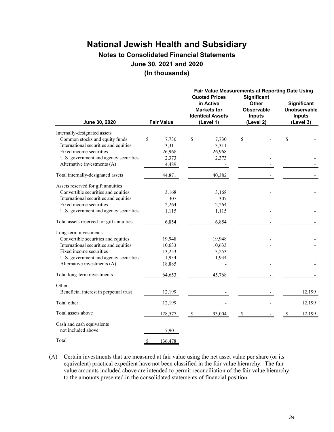### **Notes to Consolidated Financial Statements June 30, 2021 and 2020 (In thousands)**

|                                          |    |                   | Fair Value Measurements at Reporting Date Using |                                                                                    |               |                                                                   |                                                     |           |  |
|------------------------------------------|----|-------------------|-------------------------------------------------|------------------------------------------------------------------------------------|---------------|-------------------------------------------------------------------|-----------------------------------------------------|-----------|--|
|                                          |    |                   |                                                 | <b>Quoted Prices</b><br>in Active<br><b>Markets for</b><br><b>Identical Assets</b> |               | Significant<br><b>Other</b><br><b>Observable</b><br><b>Inputs</b> | <b>Significant</b><br>Unobservable<br><b>Inputs</b> |           |  |
| June 30, 2020                            |    | <b>Fair Value</b> |                                                 | (Level 1)                                                                          |               | (Level 2)                                                         |                                                     | (Level 3) |  |
| Internally-designated assets             |    |                   |                                                 |                                                                                    |               |                                                                   |                                                     |           |  |
| Common stocks and equity funds           | \$ | 7,730             | \$                                              | 7,730                                                                              | \$            |                                                                   | \$                                                  |           |  |
| International securities and equities    |    | 3,311             |                                                 | 3,311                                                                              |               |                                                                   |                                                     |           |  |
| Fixed income securities                  |    | 26,968            |                                                 | 26,968                                                                             |               |                                                                   |                                                     |           |  |
| U.S. government and agency securities    |    | 2,373             |                                                 | 2,373                                                                              |               |                                                                   |                                                     |           |  |
| Alternative investments (A)              |    | 4,489             |                                                 |                                                                                    |               |                                                                   |                                                     |           |  |
| Total internally-designated assets       |    | 44,871            |                                                 | 40,382                                                                             |               |                                                                   |                                                     |           |  |
| Assets reserved for gift annuities       |    |                   |                                                 |                                                                                    |               |                                                                   |                                                     |           |  |
| Convertible securities and equities      |    | 3,168             |                                                 | 3,168                                                                              |               |                                                                   |                                                     |           |  |
| International securities and equities    |    | 307               |                                                 | 307                                                                                |               |                                                                   |                                                     |           |  |
| Fixed income securities                  |    | 2,264             |                                                 | 2,264                                                                              |               |                                                                   |                                                     |           |  |
| U.S. government and agency securities    |    | 1,115             |                                                 | 1,115                                                                              |               |                                                                   |                                                     |           |  |
| Total assets reserved for gift annuities |    | 6,854             |                                                 | 6,854                                                                              |               |                                                                   |                                                     |           |  |
| Long-term investments                    |    |                   |                                                 |                                                                                    |               |                                                                   |                                                     |           |  |
| Convertible securities and equities      |    | 19,948            |                                                 | 19,948                                                                             |               |                                                                   |                                                     |           |  |
| International securities and equities    |    | 10,633            |                                                 | 10,633                                                                             |               |                                                                   |                                                     |           |  |
| Fixed income securities                  |    | 13,253            |                                                 | 13,253                                                                             |               |                                                                   |                                                     |           |  |
| U.S. government and agency securities    |    | 1,934             |                                                 | 1,934                                                                              |               |                                                                   |                                                     |           |  |
| Alternative investments (A)              |    | 18,885            |                                                 |                                                                                    |               |                                                                   |                                                     |           |  |
| Total long-term investments              |    | 64,653            |                                                 | 45,768                                                                             |               |                                                                   |                                                     |           |  |
| Other                                    |    |                   |                                                 |                                                                                    |               |                                                                   |                                                     |           |  |
| Beneficial interest in perpetual trust   |    | 12,199            |                                                 |                                                                                    |               |                                                                   |                                                     | 12,199    |  |
| Total other                              |    | 12,199            |                                                 |                                                                                    |               |                                                                   |                                                     | 12,199    |  |
| Total assets above                       |    | 128,577           | $\sqrt{3}$                                      | 93,004                                                                             | $\mathcal{S}$ |                                                                   |                                                     | 12,199    |  |
| Cash and cash equivalents                |    |                   |                                                 |                                                                                    |               |                                                                   |                                                     |           |  |
| not included above                       |    | 7,901             |                                                 |                                                                                    |               |                                                                   |                                                     |           |  |
| Total                                    | S  | 136,478           |                                                 |                                                                                    |               |                                                                   |                                                     |           |  |

(A) Certain investments that are measured at fair value using the net asset value per share (or its equivalent) practical expedient have not been classified in the fair value hierarchy. The fair value amounts included above are intended to permit reconciliation of the fair value hierarchy to the amounts presented in the consolidated statements of financial position.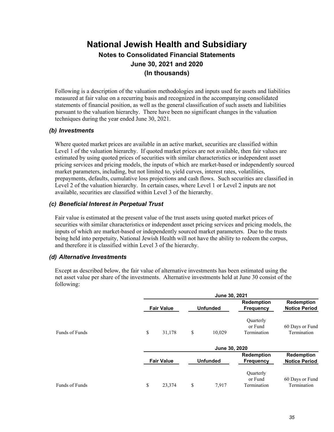Following is a description of the valuation methodologies and inputs used for assets and liabilities measured at fair value on a recurring basis and recognized in the accompanying consolidated statements of financial position, as well as the general classification of such assets and liabilities pursuant to the valuation hierarchy. There have been no significant changes in the valuation techniques during the year ended June 30, 2021.

#### *(b) Investments*

Where quoted market prices are available in an active market, securities are classified within Level 1 of the valuation hierarchy. If quoted market prices are not available, then fair values are estimated by using quoted prices of securities with similar characteristics or independent asset pricing services and pricing models, the inputs of which are market-based or independently sourced market parameters, including, but not limited to, yield curves, interest rates, volatilities, prepayments, defaults, cumulative loss projections and cash flows. Such securities are classified in Level 2 of the valuation hierarchy. In certain cases, where Level 1 or Level 2 inputs are not available, securities are classified within Level 3 of the hierarchy.

### *(c) Beneficial Interest in Perpetual Trust*

Fair value is estimated at the present value of the trust assets using quoted market prices of securities with similar characteristics or independent asset pricing services and pricing models, the inputs of which are market-based or independently sourced market parameters. Due to the trusts being held into perpetuity, National Jewish Health will not have the ability to redeem the corpus, and therefore it is classified within Level 3 of the hierarchy.

#### *(d) Alternative Investments*

Except as described below, the fair value of alternative investments has been estimated using the net asset value per share of the investments. Alternative investments held at June 30 consist of the following:

|                | June 30, 2021     |    |                 |                                       |                                           |  |  |  |  |
|----------------|-------------------|----|-----------------|---------------------------------------|-------------------------------------------|--|--|--|--|
|                | <b>Fair Value</b> |    | <b>Unfunded</b> | <b>Redemption</b><br><b>Frequency</b> | <b>Redemption</b><br><b>Notice Period</b> |  |  |  |  |
| Funds of Funds | \$<br>31,178      | \$ | 10,029          | Quarterly<br>or Fund<br>Termination   | 60 Days or Fund<br>Termination            |  |  |  |  |
|                |                   |    | June 30, 2020   |                                       |                                           |  |  |  |  |
|                | <b>Fair Value</b> |    | <b>Unfunded</b> | Redemption<br><b>Frequency</b>        | <b>Redemption</b><br><b>Notice Period</b> |  |  |  |  |
| Funds of Funds | \$<br>23,374      | \$ | 7,917           | Quarterly<br>or Fund<br>Termination   | 60 Days or Fund<br>Termination            |  |  |  |  |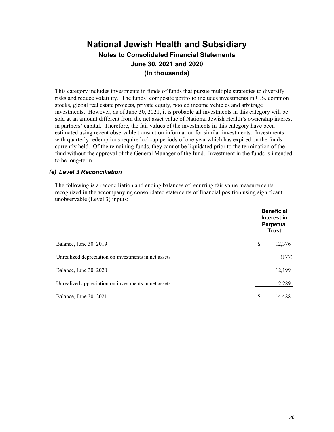This category includes investments in funds of funds that pursue multiple strategies to diversify risks and reduce volatility. The funds' composite portfolio includes investments in U.S. common stocks, global real estate projects, private equity, pooled income vehicles and arbitrage investments. However, as of June 30, 2021, it is probable all investments in this category will be sold at an amount different from the net asset value of National Jewish Health's ownership interest in partners' capital. Therefore, the fair values of the investments in this category have been estimated using recent observable transaction information for similar investments. Investments with quarterly redemptions require lock-up periods of one year which has expired on the funds currently held. Of the remaining funds, they cannot be liquidated prior to the termination of the fund without the approval of the General Manager of the fund. Investment in the funds is intended to be long-term.

#### *(e) Level 3 Reconciliation*

The following is a reconciliation and ending balances of recurring fair value measurements recognized in the accompanying consolidated statements of financial position using significant unobservable (Level 3) inputs:

|                                                      | <b>Beneficial</b><br>Interest in<br>Perpetual<br><b>Trust</b> |
|------------------------------------------------------|---------------------------------------------------------------|
| Balance, June 30, 2019                               | \$<br>12,376                                                  |
| Unrealized depreciation on investments in net assets | (177)                                                         |
| Balance, June 30, 2020                               | 12,199                                                        |
| Unrealized appreciation on investments in net assets | 2,289                                                         |
| Balance, June 30, 2021                               | 14.488                                                        |